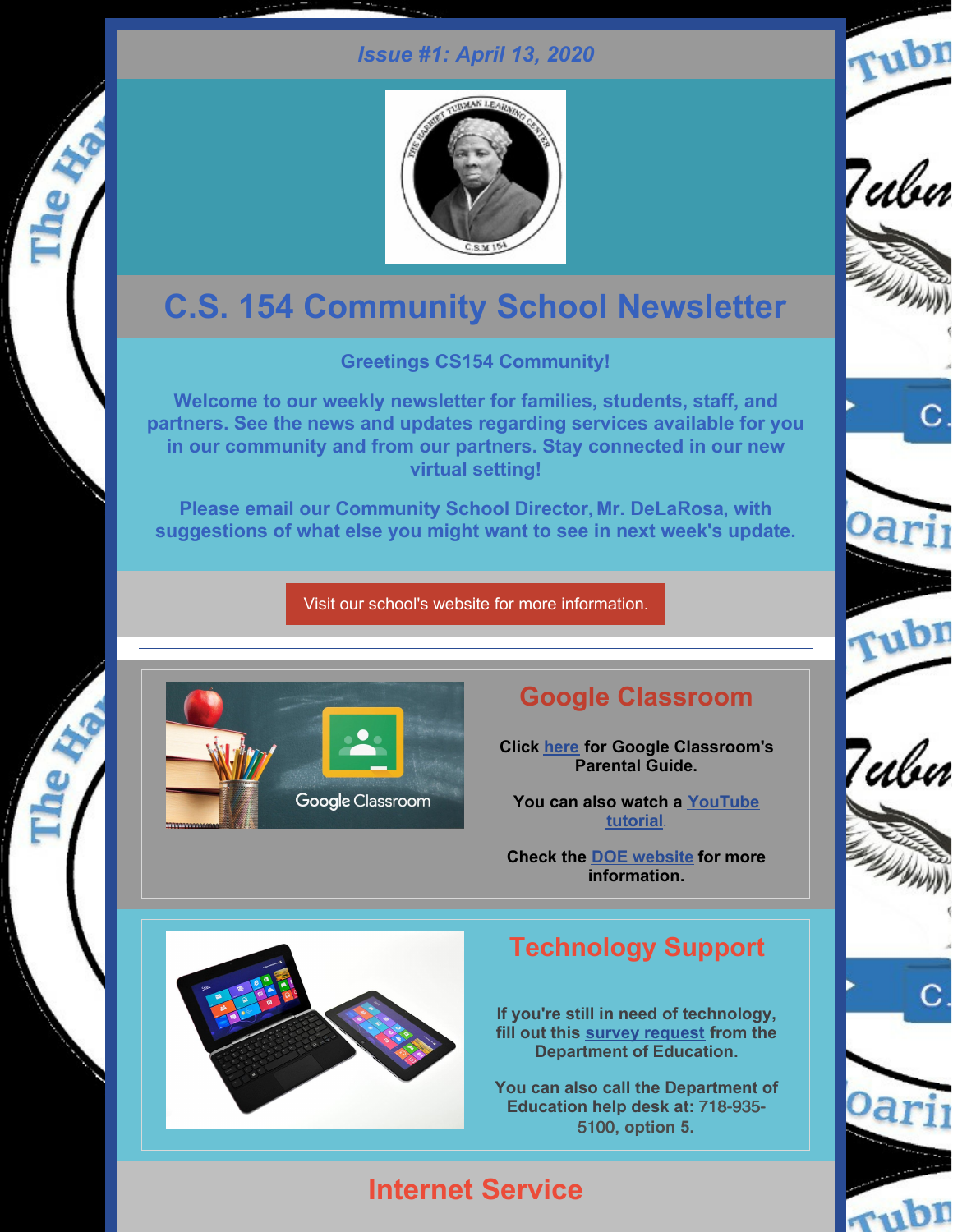#### *Issue #1: April 13, 2020*



# **C.S. 154 Community School Newsletter**

**Greetings CS154 Community!**

**Welcome to our weekly newsletter for families, students, staff, and partners. See the news and updates regarding services available for you in our community and from our partners. Stay connected in our new virtual setting!**

**Please email our Community School Director, Mr. [DeLaRosa](mailto:ad3327@tc.columbia.edu), with suggestions of what else you might want to see in next week's update.**

Visit our school's website for more [information.](https://www.ps154.com/)



## **Google Classroom**

**Click [here](https://drive.google.com/file/d/1RHeZBtc3we6fiuTHcZtSwvGbYthr3cas/view?usp=sharing) for Google Classroom's Parental Guide.**

**You can also watch a [YouTube](https://www.youtube.com/watch?v=DMJt55A-DA0) tutorial**.

**Check the DOE [website](https://www.schools.nyc.gov/learn-at-home/technical-tools-and-support/getting-started-in-google-clasroom) for more information.**

## **Technology Support**

**If you're still in need of technology, fill out this survey [request](https://coronavirus.schools.nyc/RemoteLearningDevices) from the Department of Education.**

**You can also call the Department of Education help desk at:** 718-935- 5100, **option 5.**

# **Internet Service**









Tubn



С



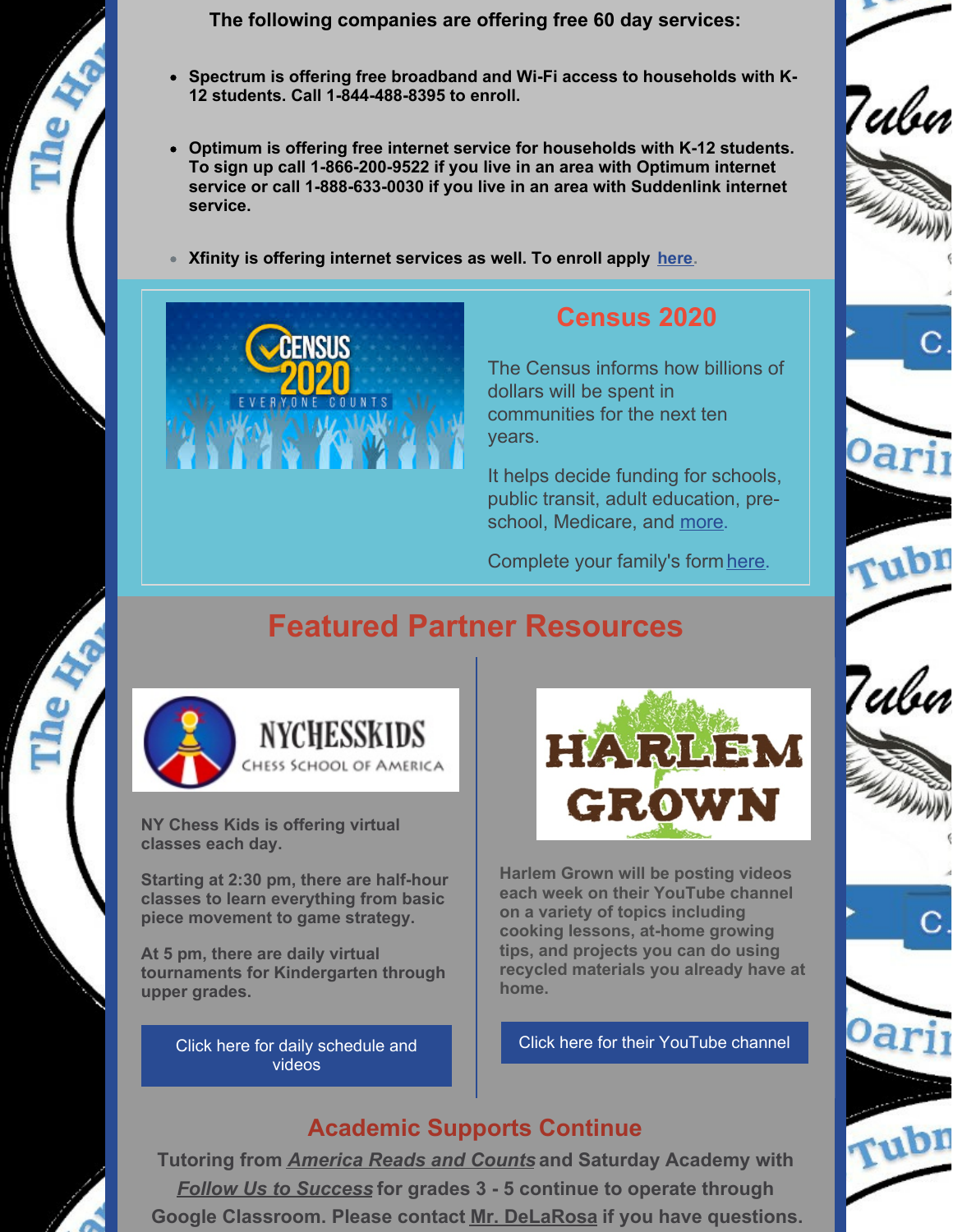

**The following companies are offering free 60 day services:**

- **Spectrum is offering free broadband and Wi-Fi access to households with K-12 students. Call 1-844-488-8395 to enroll.**
- **Optimum is offering free internet service for households with K-12 students. To sign up call 1-866-200-9522 if you live in an area with Optimum internet service or call 1-888-633-0030 if you live in an area with Suddenlink internet service.**
- **Xfinity is offering internet services as well. To enroll apply [here](https://apply.internetessentials.com/).**



# **Census 2020**

Tubn

Teılur

The Census informs how billions of dollars will be spent in communities for the next ten years.

It helps decide funding for schools, public transit, adult education, preschool, Medicare, and [more](https://2020census.gov/en/community-impact.html?cid=20005:%2Bcensus %2Bimportance:sem.ga:p:dm:en:&utm_source=sem.ga&utm_medium=p&utm_campaign=dm:en&utm_content=20005&utm_term=%2Bcensus %2Bimportance).

Complete your family's form [here](https://my2020census.gov/).

# **Featured Partner Resources**



**NY Chess Kids is offering virtual classes each day.**

**Starting at 2:30 pm, there are half-hour classes to learn everything from basic piece movement to game strategy.**

**At 5 pm, there are daily virtual tournaments for Kindergarten through upper grades.**

> Click here for daily [schedule](https://lichess.org/forum/team-nychesskids) and videos



**Harlem Grown will be posting videos each week on their YouTube channel on a variety of topics including cooking lessons, at-home growing tips, and projects you can do using recycled materials you already have at home.**

Click here for their [YouTube](https://www.youtube.com/channel/UCToHPkwNWlpSXrMesFiMB2g/videos) channel

### **Academic Supports Continue**

**Tutoring from** *[America](https://communityimpact.columbia.edu/our-programs/america-reads) Reads and Counts* **and Saturday Academy with** *Follow Us to [Success](http://followustosuccess.com/)* **for grades 3 - 5 continue to operate through Google Classroom. Please contact Mr. [DeLaRosa](mailto:ad3327@tc.columbia.edu) if you have questions.**